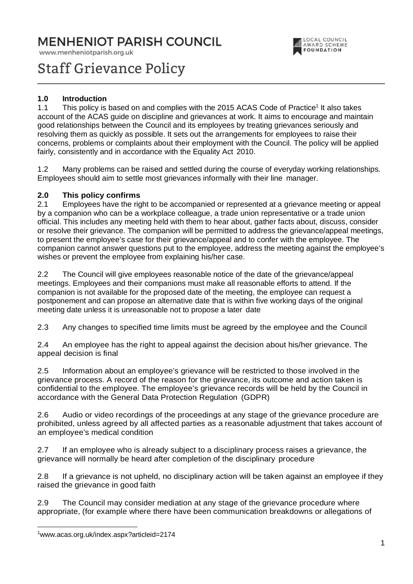# MENHENIOT PARISH COUNCIL

www.menheniotparish.org.uk



# Staff Grievance Policy

# **1.0 Introduction**

1.1 This policy is based on and complies with the 2015 ACAS Code of Practice<sup>1</sup> It also takes account of the ACAS guide on discipline and grievances at work. It aims to encourage and maintain good relationships between the Council and its employees by treating grievances seriously and resolving them as quickly as possible. It sets out the arrangements for employees to raise their concerns, problems or complaints about their employment with the Council. The policy will be applied fairly, consistently and in accordance with the Equality Act 2010.

1.2 Many problems can be raised and settled during the course of everyday working relationships. Employees should aim to settle most grievances informally with their line manager.

#### **2.0 This policy confirms**

2.1 Employees have the right to be accompanied or represented at a grievance meeting or appeal by a companion who can be a workplace colleague, a trade union representative or a trade union official. This includes any meeting held with them to hear about, gather facts about, discuss, consider or resolve their grievance. The companion will be permitted to address the grievance/appeal meetings, to present the employee's case for their grievance/appeal and to confer with the employee. The companion cannot answer questions put to the employee, address the meeting against the employee's wishes or prevent the employee from explaining his/her case.

2.2 The Council will give employees reasonable notice of the date of the grievance/appeal meetings. Employees and their companions must make all reasonable efforts to attend. If the companion is not available for the proposed date of the meeting, the employee can request a postponement and can propose an alternative date that is within five working days of the original meeting date unless it is unreasonable not to propose a later date

2.3 Any changes to specified time limits must be agreed by the employee and the Council

2.4 An employee has the right to appeal against the decision about his/her grievance. The appeal decision is final

2.5 Information about an employee's grievance will be restricted to those involved in the grievance process. A record of the reason for the grievance, its outcome and action taken is confidential to the employee. The employee's grievance records will be held by the Council in accordance with the General Data Protection Regulation (GDPR)

2.6 Audio or video recordings of the proceedings at any stage of the grievance procedure are prohibited, unless agreed by all affected parties as a reasonable adjustment that takes account of an employee's medical condition

2.7 If an employee who is already subject to a disciplinary process raises a grievance, the grievance will normally be heard after completion of the disciplinary procedure

2.8 If a grievance is not upheld, no disciplinary action will be taken against an employee if they raised the grievance in good faith

2.9 The Council may consider mediation at any stage of the grievance procedure where appropriate, (for example where there have been communication breakdowns or allegations of

<sup>1</sup>www.acas.org.uk/index.aspx?articleid=2174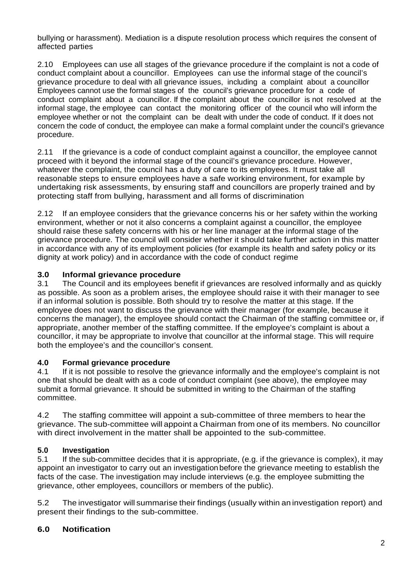bullying or harassment). Mediation is a dispute resolution process which requires the consent of affected parties

2.10 Employees can use all stages of the grievance procedure if the complaint is not a code of conduct complaint about a councillor. Employees can use the informal stage of the council's grievance procedure to deal with all grievance issues, including a complaint about a councillor Employees cannot use the formal stages of the council's grievance procedure for a code of conduct complaint about a councillor. If the complaint about the councillor is not resolved at the informal stage, the employee can contact the monitoring officer of the council who will inform the employee whether or not the complaint can be dealt with under the code of conduct. If it does not concern the code of conduct, the employee can make a formal complaint under the council's grievance procedure.

2.11 If the grievance is a code of conduct complaint against a councillor, the employee cannot proceed with it beyond the informal stage of the council's grievance procedure. However, whatever the complaint, the council has a duty of care to its employees. It must take all reasonable steps to ensure employees have a safe working environment, for example by undertaking risk assessments, by ensuring staff and councillors are properly trained and by protecting staff from bullying, harassment and all forms of discrimination

2.12 If an employee considers that the grievance concerns his or her safety within the working environment, whether or not it also concerns a complaint against a councillor, the employee should raise these safety concerns with his or her line manager at the informal stage of the grievance procedure. The council will consider whether it should take further action in this matter in accordance with any of its employment policies (for example its health and safety policy or its dignity at work policy) and in accordance with the code of conduct regime

# **3.0 Informal grievance procedure**

3.1 The Council and its employees benefit if grievances are resolved informally and as quickly as possible. As soon as a problem arises, the employee should raise it with their manager to see if an informal solution is possible. Both should try to resolve the matter at this stage. If the employee does not want to discuss the grievance with their manager (for example, because it concerns the manager), the employee should contact the Chairman of the staffing committee or, if appropriate, another member of the staffing committee. If the employee's complaint is about a councillor, it may be appropriate to involve that councillor at the informal stage. This will require both the employee's and the councillor's consent.

# **4.0 Formal grievance procedure**

4.1 If it is not possible to resolve the grievance informally and the employee's complaint is not one that should be dealt with as a code of conduct complaint (see above), the employee may submit a formal grievance. It should be submitted in writing to the Chairman of the staffing committee.

4.2 The staffing committee will appoint a sub-committee of three members to hear the grievance. The sub-committee will appoint a Chairman from one of its members. No councillor with direct involvement in the matter shall be appointed to the sub-committee.

# **5.0 Investigation**

5.1 If the sub-committee decides that it is appropriate, (e.g. if the grievance is complex), it may appoint an investigator to carry out an investigation before the grievance meeting to establish the facts of the case. The investigation may include interviews (e.g. the employee submitting the grievance, other employees, councillors or members of the public).

5.2 The investigator will summarise their findings (usually within an investigation report) and present their findings to the sub-committee.

# **6.0 Notification**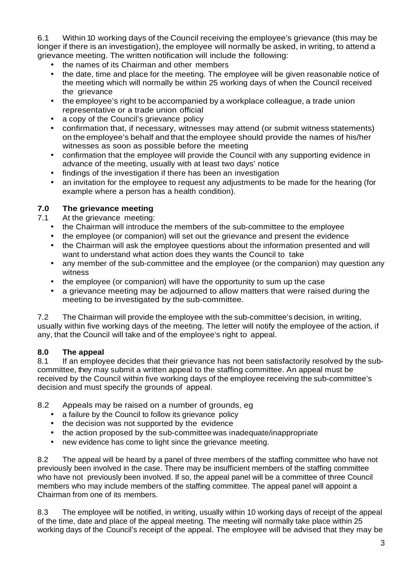6.1 Within 10 working days of the Council receiving the employee's grievance (this may be longer if there is an investigation), the employee will normally be asked, in writing, to attend a grievance meeting. The written notification will include the following:

- the names of its Chairman and other members
- the date, time and place for the meeting. The employee will be given reasonable notice of the meeting which will normally be within 25 working days of when the Council received the grievance
- the employee's right to be accompanied by a workplace colleague, a trade union representative or a trade union official
- a copy of the Council's grievance policy
- confirmation that, if necessary, witnesses may attend (or submit witness statements) on the employee's behalf and that the employee should provide the names of his/her witnesses as soon as possible before the meeting
- confirmation that the employee will provide the Council with any supporting evidence in advance of the meeting, usually with at least two days' notice
- findings of the investigation if there has been an investigation
- an invitation for the employee to request any adjustments to be made for the hearing (for example where a person has a health condition).

# **7.0 The grievance meeting**

7.1 At the grievance meeting:

- the Chairman will introduce the members of the sub-committee to the employee
- the employee (or companion) will set out the grievance and present the evidence
- the Chairman will ask the employee questions about the information presented and will want to understand what action does they wants the Council to take
- any member of the sub-committee and the employee (or the companion) may question any witness
- the employee (or companion) will have the opportunity to sum up the case
- a grievance meeting may be adjourned to allow matters that were raised during the meeting to be investigated by the sub-committee.

7.2 The Chairman will provide the employee with the sub-committee's decision, in writing, usually within five working days of the meeting. The letter will notify the employee of the action, if any, that the Council will take and of the employee's right to appeal.

# **8.0 The appeal**

8.1 If an employee decides that their grievance has not been satisfactorily resolved by the subcommittee, they may submit a written appeal to the staffing committee. An appeal must be received by the Council within five working days of the employee receiving the sub-committee's decision and must specify the grounds of appeal.

8.2 Appeals may be raised on a number of grounds, eg

- a failure by the Council to follow its grievance policy
- the decision was not supported by the evidence
- the action proposed by the sub-committee was inadequate/inappropriate
- new evidence has come to light since the grievance meeting.

8.2 The appeal will be heard by a panel of three members of the staffing committee who have not previously been involved in the case. There may be insufficient members of the staffing committee who have not previously been involved. If so, the appeal panel will be a committee of three Council members who may include members of the staffing committee. The appeal panel will appoint a Chairman from one of its members.

8.3 The employee will be notified, in writing, usually within 10 working days of receipt of the appeal of the time, date and place of the appeal meeting. The meeting will normally take place within 25 working days of the Council's receipt of the appeal. The employee will be advised that they may be